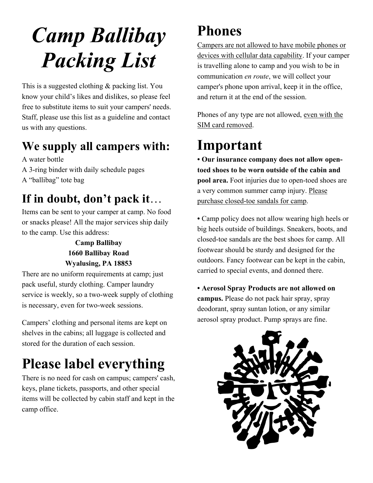# *Camp Ballibay Packing List*

This is a suggested clothing & packing list. You know your child's likes and dislikes, so please feel free to substitute items to suit your campers' needs. Staff, please use this list as a guideline and contact us with any questions.

#### **We supply all campers with:**

A water bottle A 3-ring binder with daily schedule pages A "ballibag" tote bag

# **If in doubt, don't pack it...**<br>Items can be sent to your camper at camp. No food

or snacks please! All the major services ship daily to the camp. Use this address:

#### **Camp Ballibay 1660 Ballibay Road Wyalusing, PA 18853**

There are no uniform requirements at camp; just pack useful, sturdy clothing. Camper laundry service is weekly, so a two-week supply of clothing is necessary, even for two-week sessions.

Campers' clothing and personal items are kept on shelves in the cabins; all luggage is collected and stored for the duration of each session.

#### **Please label everything**

There is no need for cash on campus; campers' cash, keys, plane tickets, passports, and other special items will be collected by cabin staff and kept in the camp office.

#### **Phones**

Campers are not allowed to have mobile phones or devices with cellular data capability. If your camper is travelling alone to camp and you wish to be in communication *en route*, we will collect your camper's phone upon arrival, keep it in the office, and return it at the end of the session.

Phones of any type are not allowed, even with the SIM card removed.

#### **Important**

**• Our insurance company does not allow opentoed shoes to be worn outside of the cabin and pool area.** Foot injuries due to open-toed shoes are a very common summer camp injury. Please purchase closed-toe sandals for camp.

**•** Camp policy does not allow wearing high heels or big heels outside of buildings. Sneakers, boots, and closed-toe sandals are the best shoes for camp. All footwear should be sturdy and designed for the outdoors. Fancy footwear can be kept in the cabin, carried to special events, and donned there.

**• Aerosol Spray Products are not allowed on campus.** Please do not pack hair spray, spray deodorant, spray suntan lotion, or any similar aerosol spray product. Pump sprays are fine.

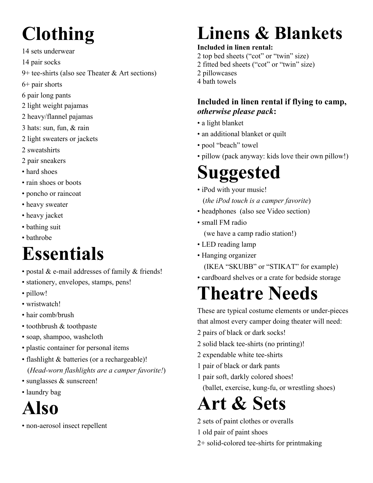# **Clothing**

- 14 sets underwear
- 14 pair socks
- 9+ tee-shirts (also see Theater & Art sections)
- 6+ pair shorts
- 6 pair long pants
- 2 light weight pajamas
- 2 heavy/flannel pajamas
- 3 hats: sun, fun, & rain
- 2 light sweaters or jackets
- 2 sweatshirts
- 2 pair sneakers
- hard shoes
- rain shoes or boots
- poncho or raincoat
- heavy sweater
- heavy jacket
- bathing suit
- bathrobe

# **Essentials**

- postal & e-mail addresses of family & friends!
- stationery, envelopes, stamps, pens!
- pillow!
- wristwatch!
- hair comb/brush
- toothbrush & toothpaste
- soap, shampoo, washcloth
- plastic container for personal items
- flashlight & batteries (or a rechargeable)! (*Head-worn flashlights are a camper favorite!*)
- sunglasses & sunscreen!
- laundry bag

### **Also**

• non-aerosol insect repellent

# **Linens & Blankets**

#### **Included in linen rental:**

- 2 top bed sheets ("cot" or "twin" size)
- 2 fitted bed sheets ("cot" or "twin" size)
- 2 pillowcases
- 4 bath towels

#### **Included in linen rental if flying to camp,**  *otherwise please pack***:**

- a light blanket
- an additional blanket or quilt
- pool "beach" towel
- pillow (pack anyway: kids love their own pillow!)

# **Suggested**

- iPod with your music! (*the iPod touch is a camper favorite*)
- headphones (also see Video section)
- small FM radio

(we have a camp radio station!)

- LED reading lamp
- Hanging organizer

(IKEA "SKUBB" or "STIKAT" for example)

• cardboard shelves or a crate for bedside storage

# **Theatre Needs**

These are typical costume elements or under-pieces that almost every camper doing theater will need:

- 2 pairs of black or dark socks!
- 2 solid black tee-shirts (no printing)!
- 2 expendable white tee-shirts
- 1 pair of black or dark pants
- 1 pair soft, darkly colored shoes! (ballet, exercise, kung-fu, or wrestling shoes)

# **Art & Sets**

- 2 sets of paint clothes or overalls
- 1 old pair of paint shoes
- 2+ solid-colored tee-shirts for printmaking